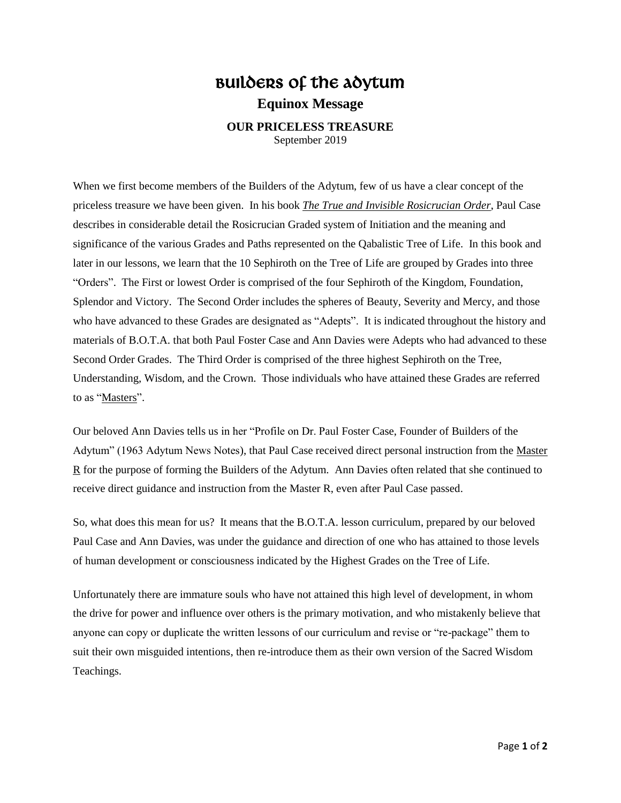## Builders of the Adytum **Equinox Message**

**OUR PRICELESS TREASURE** September 2019

When we first become members of the Builders of the Adytum, few of us have a clear concept of the priceless treasure we have been given. In his book *The True and Invisible Rosicrucian Order*, Paul Case describes in considerable detail the Rosicrucian Graded system of Initiation and the meaning and significance of the various Grades and Paths represented on the Qabalistic Tree of Life. In this book and later in our lessons, we learn that the 10 Sephiroth on the Tree of Life are grouped by Grades into three "Orders". The First or lowest Order is comprised of the four Sephiroth of the Kingdom, Foundation, Splendor and Victory. The Second Order includes the spheres of Beauty, Severity and Mercy, and those who have advanced to these Grades are designated as "Adepts". It is indicated throughout the history and materials of B.O.T.A. that both Paul Foster Case and Ann Davies were Adepts who had advanced to these Second Order Grades. The Third Order is comprised of the three highest Sephiroth on the Tree, Understanding, Wisdom, and the Crown. Those individuals who have attained these Grades are referred to as "Masters".

Our beloved Ann Davies tells us in her "Profile on Dr. Paul Foster Case, Founder of Builders of the Adytum" (1963 Adytum News Notes), that Paul Case received direct personal instruction from the Master R for the purpose of forming the Builders of the Adytum. Ann Davies often related that she continued to receive direct guidance and instruction from the Master R, even after Paul Case passed.

So, what does this mean for us? It means that the B.O.T.A. lesson curriculum, prepared by our beloved Paul Case and Ann Davies, was under the guidance and direction of one who has attained to those levels of human development or consciousness indicated by the Highest Grades on the Tree of Life.

Unfortunately there are immature souls who have not attained this high level of development, in whom the drive for power and influence over others is the primary motivation, and who mistakenly believe that anyone can copy or duplicate the written lessons of our curriculum and revise or "re-package" them to suit their own misguided intentions, then re-introduce them as their own version of the Sacred Wisdom Teachings.